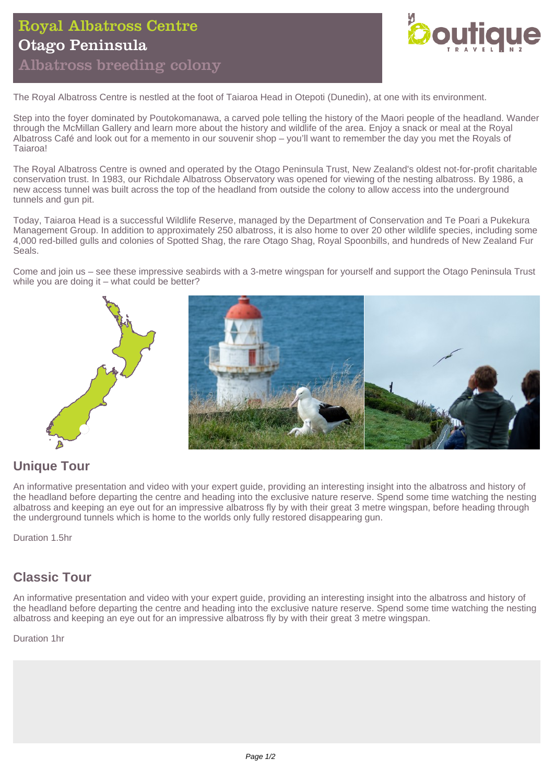# Royal Albatross Centre Otago Peninsula Albatross breeding colony



The Royal Albatross Centre is nestled at the foot of Taiaroa Head in Otepoti (Dunedin), at one with its environment.

Step into the foyer dominated by Poutokomanawa, a carved pole telling the history of the Maori people of the headland. Wander through the McMillan Gallery and learn more about the history and wildlife of the area. Enjoy a snack or meal at the Royal Albatross Café and look out for a memento in our souvenir shop – you'll want to remember the day you met the Royals of Taiaroa!

The Royal Albatross Centre is owned and operated by the Otago Peninsula Trust, New Zealand's oldest not-for-profit charitable conservation trust. In 1983, our Richdale Albatross Observatory was opened for viewing of the nesting albatross. By 1986, a new access tunnel was built across the top of the headland from outside the colony to allow access into the underground tunnels and gun pit.

Today, Taiaroa Head is a successful Wildlife Reserve, managed by the Department of Conservation and Te Poari a Pukekura Management Group. In addition to approximately 250 albatross, it is also home to over 20 other wildlife species, including some 4,000 red-billed gulls and colonies of Spotted Shag, the rare Otago Shag, Royal Spoonbills, and hundreds of New Zealand Fur Seals.

Come and join us – see these impressive seabirds with a 3-metre wingspan for yourself and support the Otago Peninsula Trust while you are doing it – what could be better?



# **Unique Tour**

An informative presentation and video with your expert guide, providing an interesting insight into the albatross and history of the headland before departing the centre and heading into the exclusive nature reserve. Spend some time watching the nesting albatross and keeping an eye out for an impressive albatross fly by with their great 3 metre wingspan, before heading through the underground tunnels which is home to the worlds only fully restored disappearing gun.

Duration 1.5hr

# **Classic Tour**

An informative presentation and video with your expert guide, providing an interesting insight into the albatross and history of the headland before departing the centre and heading into the exclusive nature reserve. Spend some time watching the nesting albatross and keeping an eye out for an impressive albatross fly by with their great 3 metre wingspan.

Duration 1hr